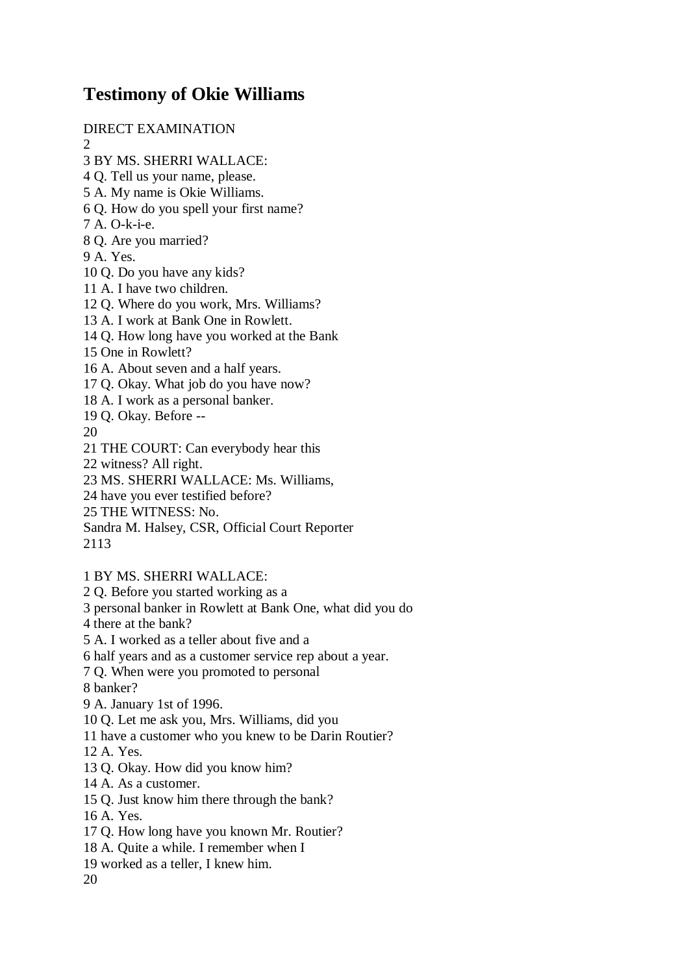## **Testimony of Okie Williams**

DIRECT EXAMINATION

- $\mathcal{D}$
- 3 BY MS. SHERRI WALLACE:
- 4 Q. Tell us your name, please.
- 5 A. My name is Okie Williams.
- 6 Q. How do you spell your first name?
- 7 A. O-k-i-e.
- 8 Q. Are you married?
- 9 A. Yes.
- 10 Q. Do you have any kids?
- 11 A. I have two children.
- 12 Q. Where do you work, Mrs. Williams?
- 13 A. I work at Bank One in Rowlett.
- 14 Q. How long have you worked at the Bank
- 15 One in Rowlett?
- 16 A. About seven and a half years.
- 17 Q. Okay. What job do you have now?
- 18 A. I work as a personal banker.
- 19 Q. Okay. Before --
- 20
- 21 THE COURT: Can everybody hear this
- 22 witness? All right.
- 23 MS. SHERRI WALLACE: Ms. Williams,
- 24 have you ever testified before?
- 25 THE WITNESS: No.
- Sandra M. Halsey, CSR, Official Court Reporter
- 2113
- 1 BY MS. SHERRI WALLACE:
- 2 Q. Before you started working as a
- 3 personal banker in Rowlett at Bank One, what did you do
- 4 there at the bank?
- 5 A. I worked as a teller about five and a
- 6 half years and as a customer service rep about a year.
- 7 Q. When were you promoted to personal
- 8 banker?
- 9 A. January 1st of 1996.
- 10 Q. Let me ask you, Mrs. Williams, did you
- 11 have a customer who you knew to be Darin Routier?
- 12 A. Yes.
- 13 Q. Okay. How did you know him?
- 14 A. As a customer.
- 15 Q. Just know him there through the bank?
- 16 A. Yes.
- 17 Q. How long have you known Mr. Routier?
- 18 A. Quite a while. I remember when I
- 19 worked as a teller, I knew him.
- 20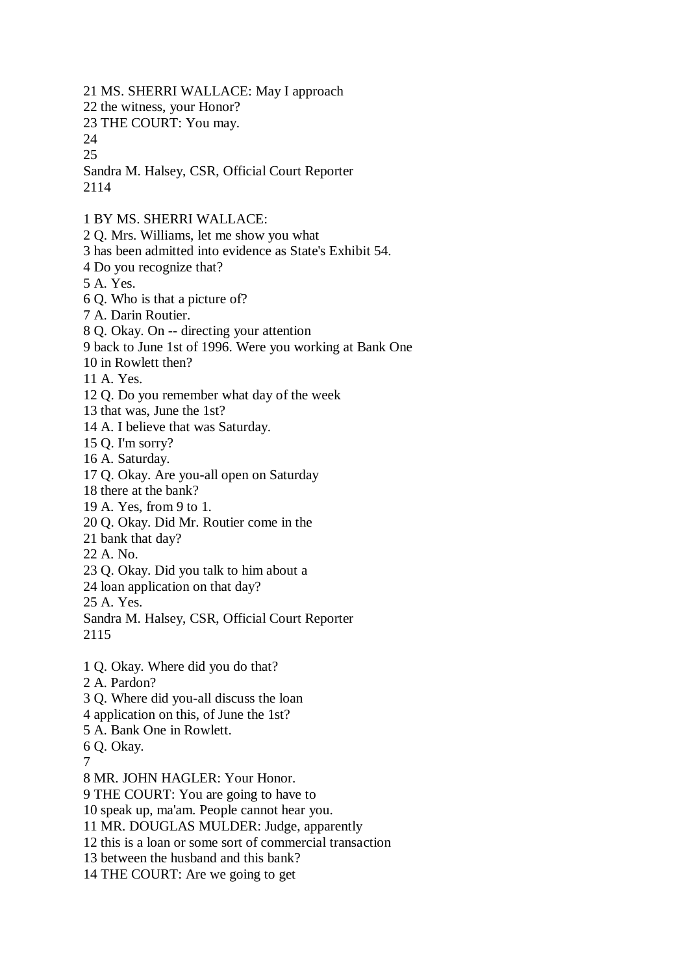21 MS. SHERRI WALLACE: May I approach 22 the witness, your Honor? 23 THE COURT: You may. 24 25 Sandra M. Halsey, CSR, Official Court Reporter 2114 1 BY MS. SHERRI WALLACE: 2 Q. Mrs. Williams, let me show you what 3 has been admitted into evidence as State's Exhibit 54. 4 Do you recognize that? 5 A. Yes. 6 Q. Who is that a picture of? 7 A. Darin Routier. 8 Q. Okay. On -- directing your attention 9 back to June 1st of 1996. Were you working at Bank One 10 in Rowlett then? 11 A. Yes. 12 Q. Do you remember what day of the week 13 that was, June the 1st? 14 A. I believe that was Saturday. 15 Q. I'm sorry? 16 A. Saturday. 17 Q. Okay. Are you-all open on Saturday 18 there at the bank? 19 A. Yes, from 9 to 1. 20 Q. Okay. Did Mr. Routier come in the 21 bank that day? 22 A. No. 23 Q. Okay. Did you talk to him about a 24 loan application on that day? 25 A. Yes. Sandra M. Halsey, CSR, Official Court Reporter 2115 1 Q. Okay. Where did you do that? 2 A. Pardon? 3 Q. Where did you-all discuss the loan 4 application on this, of June the 1st? 5 A. Bank One in Rowlett. 6 Q. Okay. 7 8 MR. JOHN HAGLER: Your Honor. 9 THE COURT: You are going to have to 10 speak up, ma'am. People cannot hear you. 11 MR. DOUGLAS MULDER: Judge, apparently 12 this is a loan or some sort of commercial transaction 13 between the husband and this bank? 14 THE COURT: Are we going to get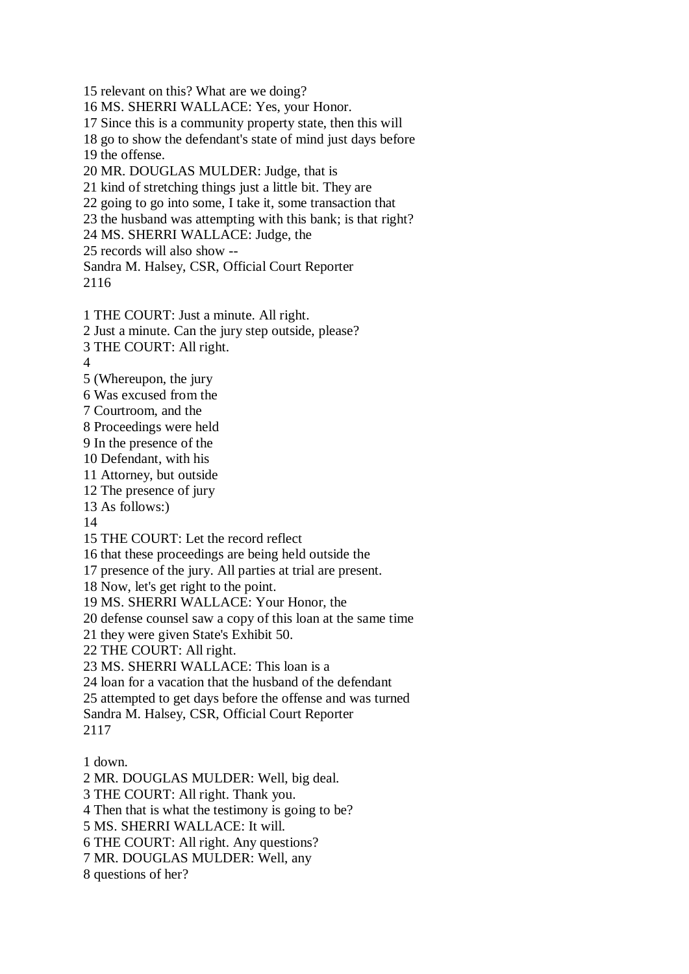15 relevant on this? What are we doing? 16 MS. SHERRI WALLACE: Yes, your Honor. 17 Since this is a community property state, then this will 18 go to show the defendant's state of mind just days before 19 the offense. 20 MR. DOUGLAS MULDER: Judge, that is 21 kind of stretching things just a little bit. They are 22 going to go into some, I take it, some transaction that 23 the husband was attempting with this bank; is that right? 24 MS. SHERRI WALLACE: Judge, the 25 records will also show -- Sandra M. Halsey, CSR, Official Court Reporter 2116 1 THE COURT: Just a minute. All right. 2 Just a minute. Can the jury step outside, please? 3 THE COURT: All right. 4 5 (Whereupon, the jury 6 Was excused from the 7 Courtroom, and the 8 Proceedings were held 9 In the presence of the 10 Defendant, with his 11 Attorney, but outside 12 The presence of jury 13 As follows:) 14 15 THE COURT: Let the record reflect 16 that these proceedings are being held outside the 17 presence of the jury. All parties at trial are present. 18 Now, let's get right to the point. 19 MS. SHERRI WALLACE: Your Honor, the 20 defense counsel saw a copy of this loan at the same time 21 they were given State's Exhibit 50. 22 THE COURT: All right. 23 MS. SHERRI WALLACE: This loan is a 24 loan for a vacation that the husband of the defendant 25 attempted to get days before the offense and was turned

Sandra M. Halsey, CSR, Official Court Reporter 2117

1 down.

2 MR. DOUGLAS MULDER: Well, big deal.

3 THE COURT: All right. Thank you.

4 Then that is what the testimony is going to be?

5 MS. SHERRI WALLACE: It will.

6 THE COURT: All right. Any questions?

7 MR. DOUGLAS MULDER: Well, any

8 questions of her?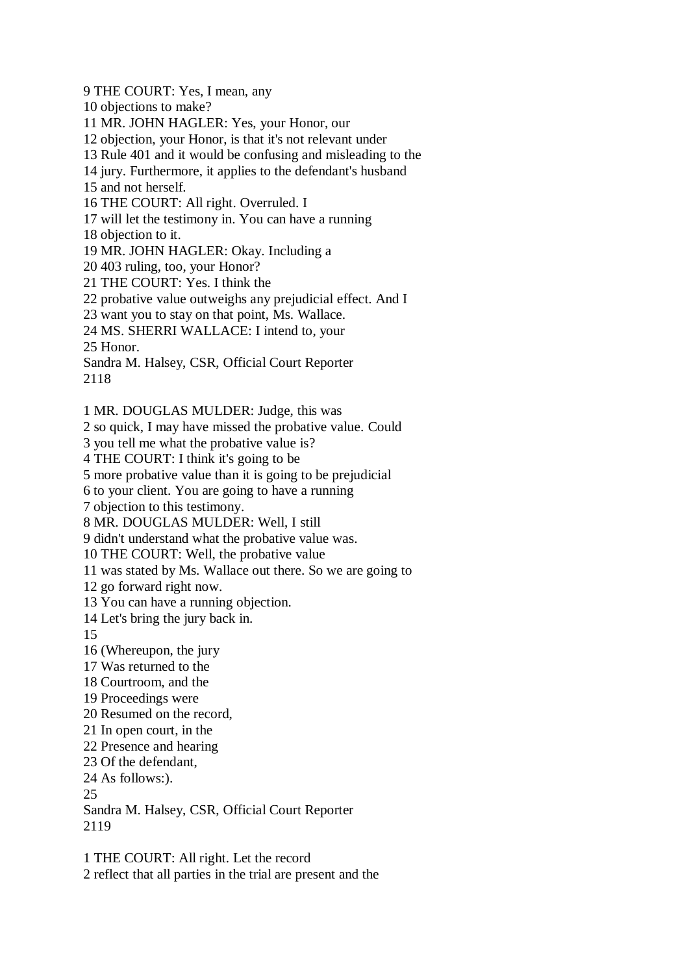9 THE COURT: Yes, I mean, any

10 objections to make?

11 MR. JOHN HAGLER: Yes, your Honor, our

12 objection, your Honor, is that it's not relevant under

13 Rule 401 and it would be confusing and misleading to the

14 jury. Furthermore, it applies to the defendant's husband

15 and not herself.

16 THE COURT: All right. Overruled. I

17 will let the testimony in. You can have a running

18 objection to it.

19 MR. JOHN HAGLER: Okay. Including a

20 403 ruling, too, your Honor?

21 THE COURT: Yes. I think the

22 probative value outweighs any prejudicial effect. And I

23 want you to stay on that point, Ms. Wallace.

24 MS. SHERRI WALLACE: I intend to, your

25 Honor.

Sandra M. Halsey, CSR, Official Court Reporter

2118

1 MR. DOUGLAS MULDER: Judge, this was

2 so quick, I may have missed the probative value. Could

3 you tell me what the probative value is?

4 THE COURT: I think it's going to be

5 more probative value than it is going to be prejudicial

6 to your client. You are going to have a running

7 objection to this testimony.

8 MR. DOUGLAS MULDER: Well, I still

9 didn't understand what the probative value was.

10 THE COURT: Well, the probative value

11 was stated by Ms. Wallace out there. So we are going to

12 go forward right now.

13 You can have a running objection.

14 Let's bring the jury back in.

15

16 (Whereupon, the jury

17 Was returned to the

18 Courtroom, and the

19 Proceedings were

20 Resumed on the record,

21 In open court, in the

22 Presence and hearing

23 Of the defendant,

24 As follows:).

25

Sandra M. Halsey, CSR, Official Court Reporter 2119

1 THE COURT: All right. Let the record 2 reflect that all parties in the trial are present and the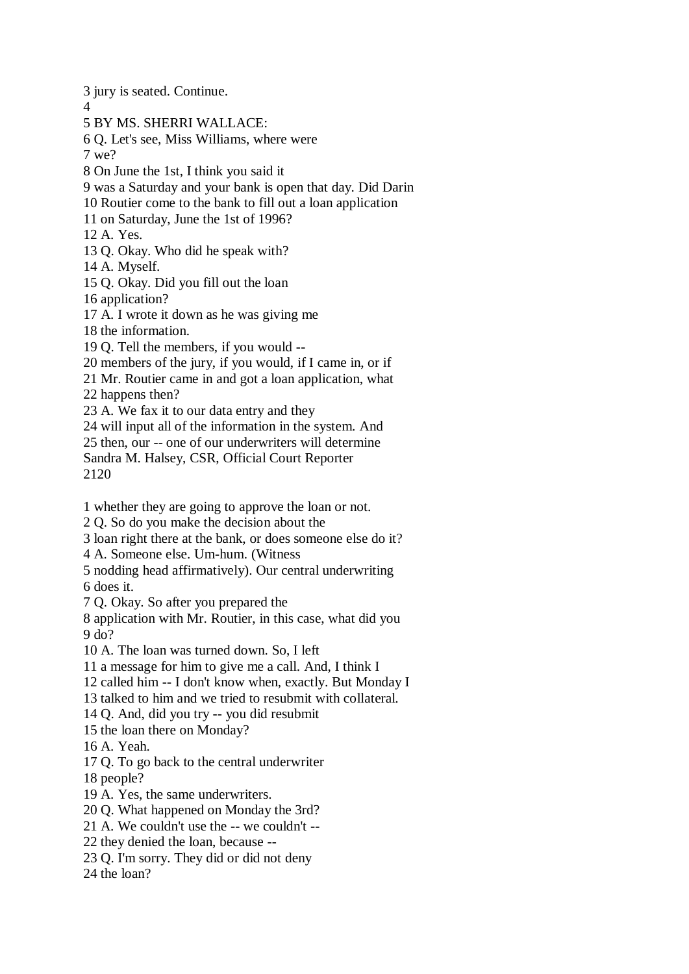3 jury is seated. Continue. 4 5 BY MS. SHERRI WALLACE: 6 Q. Let's see, Miss Williams, where were 7 we? 8 On June the 1st, I think you said it 9 was a Saturday and your bank is open that day. Did Darin 10 Routier come to the bank to fill out a loan application 11 on Saturday, June the 1st of 1996? 12 A. Yes. 13 Q. Okay. Who did he speak with? 14 A. Myself. 15 Q. Okay. Did you fill out the loan 16 application? 17 A. I wrote it down as he was giving me 18 the information. 19 Q. Tell the members, if you would -- 20 members of the jury, if you would, if I came in, or if 21 Mr. Routier came in and got a loan application, what 22 happens then? 23 A. We fax it to our data entry and they 24 will input all of the information in the system. And 25 then, our -- one of our underwriters will determine Sandra M. Halsey, CSR, Official Court Reporter 2120 1 whether they are going to approve the loan or not. 2 Q. So do you make the decision about the 3 loan right there at the bank, or does someone else do it?

4 A. Someone else. Um-hum. (Witness

5 nodding head affirmatively). Our central underwriting 6 does it.

7 Q. Okay. So after you prepared the

8 application with Mr. Routier, in this case, what did you 9 do?

10 A. The loan was turned down. So, I left

11 a message for him to give me a call. And, I think I

12 called him -- I don't know when, exactly. But Monday I

13 talked to him and we tried to resubmit with collateral.

14 Q. And, did you try -- you did resubmit

15 the loan there on Monday?

16 A. Yeah.

17 Q. To go back to the central underwriter

18 people?

19 A. Yes, the same underwriters.

20 Q. What happened on Monday the 3rd?

21 A. We couldn't use the -- we couldn't --

22 they denied the loan, because --

23 Q. I'm sorry. They did or did not deny

24 the loan?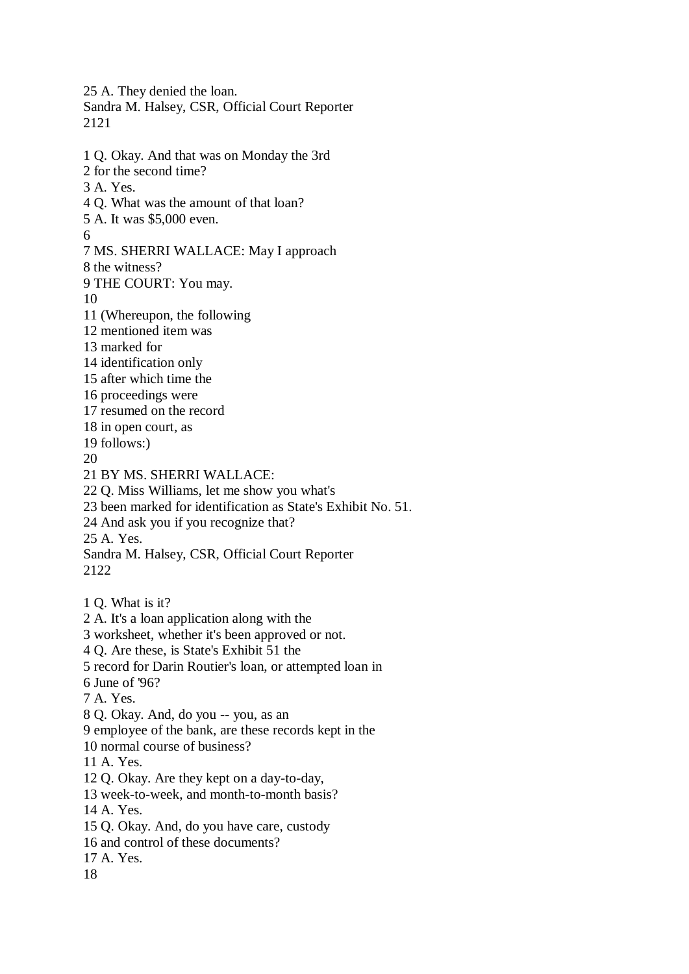25 A. They denied the loan. Sandra M. Halsey, CSR, Official Court Reporter 2121 1 Q. Okay. And that was on Monday the 3rd 2 for the second time? 3 A. Yes. 4 Q. What was the amount of that loan? 5 A. It was \$5,000 even. 6 7 MS. SHERRI WALLACE: May I approach 8 the witness? 9 THE COURT: You may. 10 11 (Whereupon, the following 12 mentioned item was 13 marked for 14 identification only 15 after which time the 16 proceedings were 17 resumed on the record 18 in open court, as 19 follows:) 20 21 BY MS. SHERRI WALLACE: 22 Q. Miss Williams, let me show you what's 23 been marked for identification as State's Exhibit No. 51. 24 And ask you if you recognize that? 25 A. Yes. Sandra M. Halsey, CSR, Official Court Reporter 2122 1 Q. What is it? 2 A. It's a loan application along with the 3 worksheet, whether it's been approved or not. 4 Q. Are these, is State's Exhibit 51 the 5 record for Darin Routier's loan, or attempted loan in 6 June of '96? 7 A. Yes. 8 Q. Okay. And, do you -- you, as an 9 employee of the bank, are these records kept in the 10 normal course of business? 11 A. Yes. 12 Q. Okay. Are they kept on a day-to-day, 13 week-to-week, and month-to-month basis? 14 A. Yes. 15 Q. Okay. And, do you have care, custody 16 and control of these documents? 17 A. Yes. 18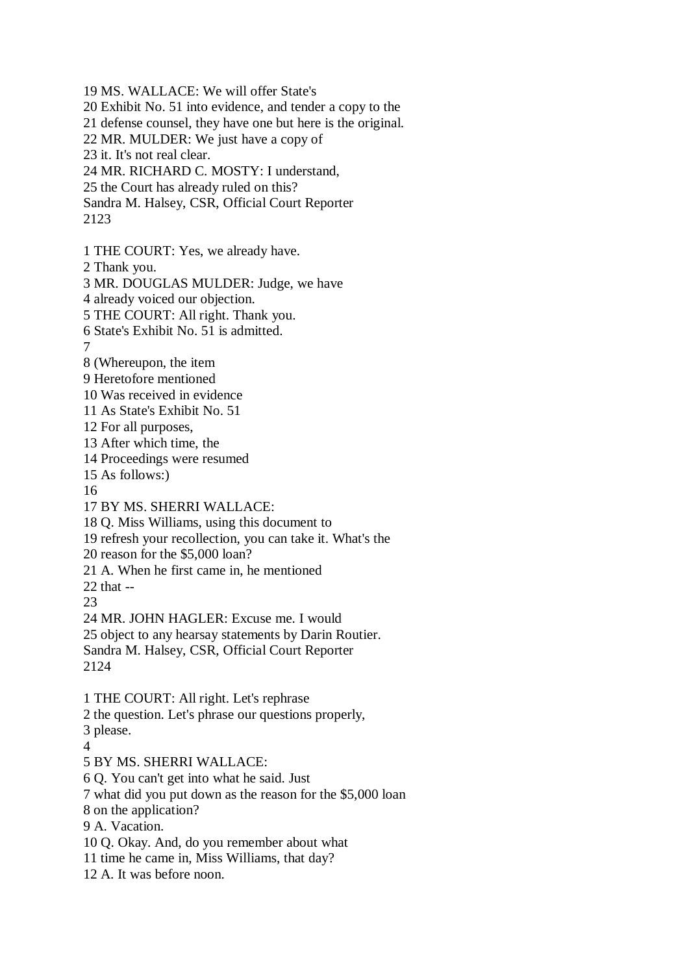19 MS. WALLACE: We will offer State's 20 Exhibit No. 51 into evidence, and tender a copy to the 21 defense counsel, they have one but here is the original. 22 MR. MULDER: We just have a copy of 23 it. It's not real clear. 24 MR. RICHARD C. MOSTY: I understand, 25 the Court has already ruled on this? Sandra M. Halsey, CSR, Official Court Reporter 2123 1 THE COURT: Yes, we already have. 2 Thank you. 3 MR. DOUGLAS MULDER: Judge, we have 4 already voiced our objection. 5 THE COURT: All right. Thank you. 6 State's Exhibit No. 51 is admitted. 7 8 (Whereupon, the item 9 Heretofore mentioned 10 Was received in evidence 11 As State's Exhibit No. 51 12 For all purposes, 13 After which time, the 14 Proceedings were resumed 15 As follows:) 16 17 BY MS. SHERRI WALLACE: 18 Q. Miss Williams, using this document to 19 refresh your recollection, you can take it. What's the 20 reason for the \$5,000 loan? 21 A. When he first came in, he mentioned 22 that -- 23 24 MR. JOHN HAGLER: Excuse me. I would 25 object to any hearsay statements by Darin Routier. Sandra M. Halsey, CSR, Official Court Reporter 2124 1 THE COURT: All right. Let's rephrase 2 the question. Let's phrase our questions properly, 3 please.  $\Delta$ 5 BY MS. SHERRI WALLACE: 6 Q. You can't get into what he said. Just 7 what did you put down as the reason for the \$5,000 loan 8 on the application? 9 A. Vacation.

10 Q. Okay. And, do you remember about what

11 time he came in, Miss Williams, that day?

12 A. It was before noon.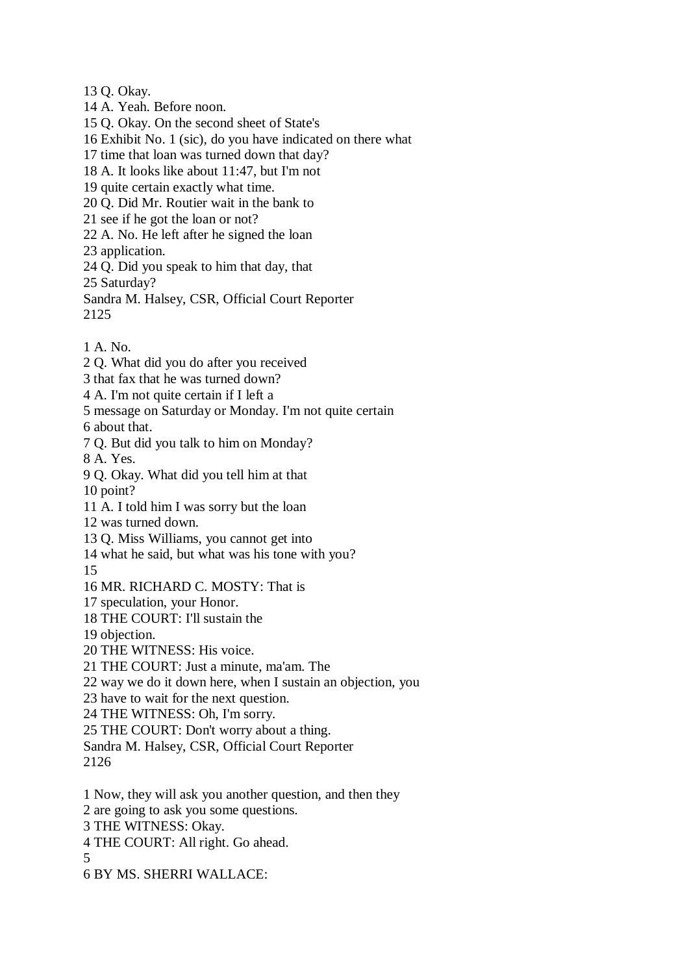13 Q. Okay.

14 A. Yeah. Before noon.

15 Q. Okay. On the second sheet of State's

16 Exhibit No. 1 (sic), do you have indicated on there what

17 time that loan was turned down that day?

18 A. It looks like about 11:47, but I'm not

19 quite certain exactly what time.

20 Q. Did Mr. Routier wait in the bank to

21 see if he got the loan or not?

22 A. No. He left after he signed the loan

23 application.

24 Q. Did you speak to him that day, that

25 Saturday?

Sandra M. Halsey, CSR, Official Court Reporter 2125

1 A. No.

2 Q. What did you do after you received

3 that fax that he was turned down?

4 A. I'm not quite certain if I left a

5 message on Saturday or Monday. I'm not quite certain

6 about that.

7 Q. But did you talk to him on Monday?

8 A. Yes.

9 Q. Okay. What did you tell him at that 10 point?

11 A. I told him I was sorry but the loan

12 was turned down.

13 Q. Miss Williams, you cannot get into

14 what he said, but what was his tone with you?

15

## 16 MR. RICHARD C. MOSTY: That is

17 speculation, your Honor.

18 THE COURT: I'll sustain the

19 objection.

20 THE WITNESS: His voice.

21 THE COURT: Just a minute, ma'am. The

22 way we do it down here, when I sustain an objection, you

23 have to wait for the next question.

24 THE WITNESS: Oh, I'm sorry.

25 THE COURT: Don't worry about a thing.

Sandra M. Halsey, CSR, Official Court Reporter 2126

1 Now, they will ask you another question, and then they

2 are going to ask you some questions.

3 THE WITNESS: Okay.

4 THE COURT: All right. Go ahead.

5

6 BY MS. SHERRI WALLACE: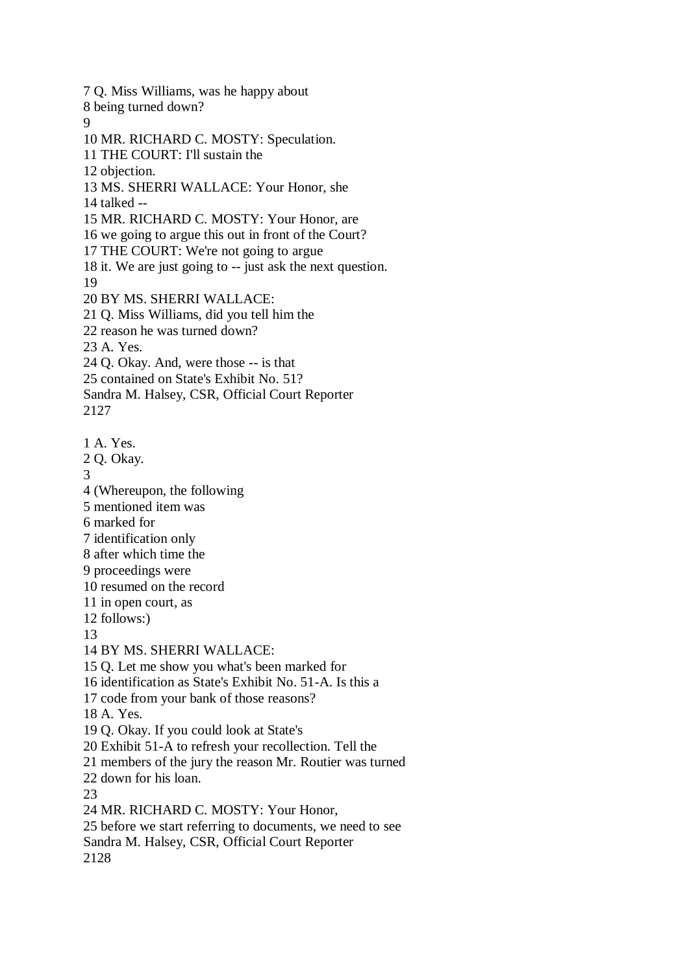7 Q. Miss Williams, was he happy about 8 being turned down?  $\overline{Q}$ 10 MR. RICHARD C. MOSTY: Speculation. 11 THE COURT: I'll sustain the 12 objection. 13 MS. SHERRI WALLACE: Your Honor, she 14 talked -- 15 MR. RICHARD C. MOSTY: Your Honor, are 16 we going to argue this out in front of the Court? 17 THE COURT: We're not going to argue 18 it. We are just going to -- just ask the next question. 19 20 BY MS. SHERRI WALLACE: 21 Q. Miss Williams, did you tell him the 22 reason he was turned down? 23 A. Yes. 24 Q. Okay. And, were those -- is that 25 contained on State's Exhibit No. 51? Sandra M. Halsey, CSR, Official Court Reporter 2127 1 A. Yes. 2 Q. Okay. 3 4 (Whereupon, the following 5 mentioned item was 6 marked for 7 identification only 8 after which time the 9 proceedings were 10 resumed on the record 11 in open court, as 12 follows:) 13 14 BY MS. SHERRI WALLACE: 15 Q. Let me show you what's been marked for 16 identification as State's Exhibit No. 51-A. Is this a 17 code from your bank of those reasons? 18 A. Yes. 19 Q. Okay. If you could look at State's 20 Exhibit 51-A to refresh your recollection. Tell the 21 members of the jury the reason Mr. Routier was turned 22 down for his loan. 23 24 MR. RICHARD C. MOSTY: Your Honor, 25 before we start referring to documents, we need to see Sandra M. Halsey, CSR, Official Court Reporter 2128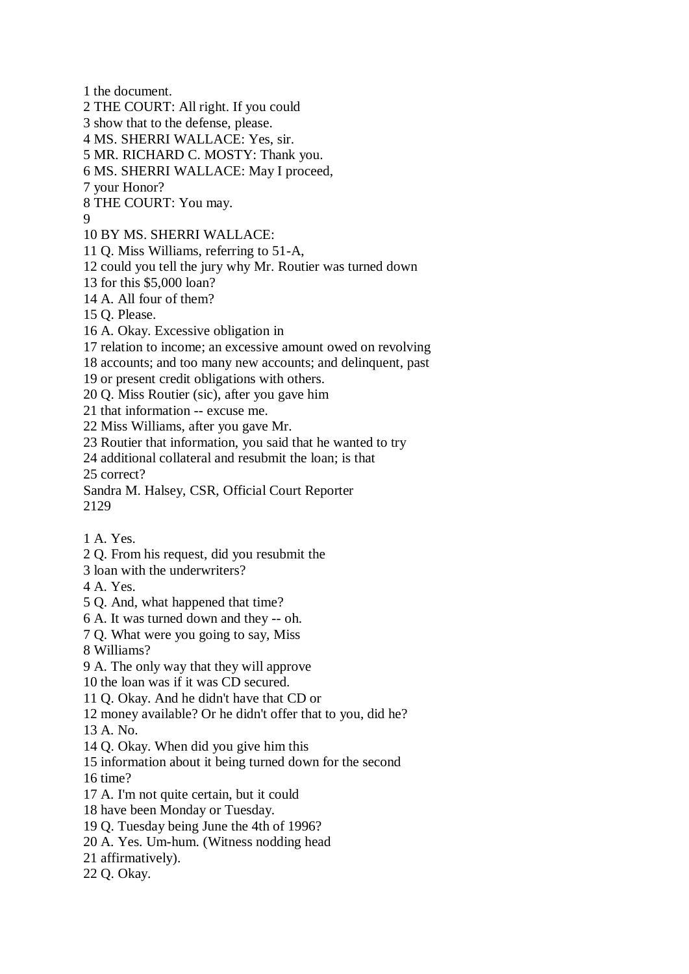1 the document. 2 THE COURT: All right. If you could 3 show that to the defense, please. 4 MS. SHERRI WALLACE: Yes, sir. 5 MR. RICHARD C. MOSTY: Thank you. 6 MS. SHERRI WALLACE: May I proceed, 7 your Honor? 8 THE COURT: You may. 9 10 BY MS. SHERRI WALLACE: 11 Q. Miss Williams, referring to 51-A, 12 could you tell the jury why Mr. Routier was turned down 13 for this \$5,000 loan? 14 A. All four of them? 15 Q. Please. 16 A. Okay. Excessive obligation in 17 relation to income; an excessive amount owed on revolving 18 accounts; and too many new accounts; and delinquent, past 19 or present credit obligations with others. 20 Q. Miss Routier (sic), after you gave him 21 that information -- excuse me. 22 Miss Williams, after you gave Mr. 23 Routier that information, you said that he wanted to try 24 additional collateral and resubmit the loan; is that 25 correct? Sandra M. Halsey, CSR, Official Court Reporter 2129 1 A. Yes. 2 Q. From his request, did you resubmit the 3 loan with the underwriters? 4 A. Yes. 5 Q. And, what happened that time? 6 A. It was turned down and they -- oh. 7 Q. What were you going to say, Miss 8 Williams? 9 A. The only way that they will approve 10 the loan was if it was CD secured. 11 Q. Okay. And he didn't have that CD or 12 money available? Or he didn't offer that to you, did he?  $13 \text{ A}$ . No. 14 Q. Okay. When did you give him this 15 information about it being turned down for the second 16 time? 17 A. I'm not quite certain, but it could 18 have been Monday or Tuesday. 19 Q. Tuesday being June the 4th of 1996? 20 A. Yes. Um-hum. (Witness nodding head 21 affirmatively). 22 Q. Okay.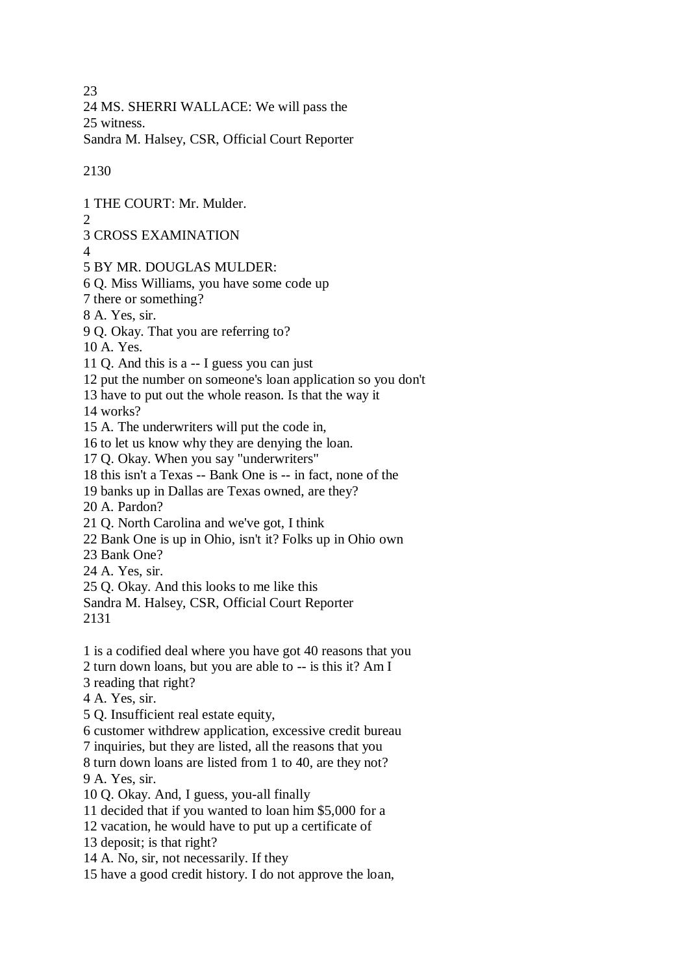23

24 MS. SHERRI WALLACE: We will pass the 25 witness.

Sandra M. Halsey, CSR, Official Court Reporter

2130

1 THE COURT: Mr. Mulder.  $\mathfrak{D}$ 3 CROSS EXAMINATION 4 5 BY MR. DOUGLAS MULDER: 6 Q. Miss Williams, you have some code up 7 there or something? 8 A. Yes, sir. 9 Q. Okay. That you are referring to? 10 A. Yes. 11 Q. And this is a -- I guess you can just 12 put the number on someone's loan application so you don't 13 have to put out the whole reason. Is that the way it 14 works? 15 A. The underwriters will put the code in, 16 to let us know why they are denying the loan. 17 Q. Okay. When you say "underwriters" 18 this isn't a Texas -- Bank One is -- in fact, none of the 19 banks up in Dallas are Texas owned, are they? 20 A. Pardon? 21 Q. North Carolina and we've got, I think 22 Bank One is up in Ohio, isn't it? Folks up in Ohio own 23 Bank One? 24 A. Yes, sir. 25 Q. Okay. And this looks to me like this Sandra M. Halsey, CSR, Official Court Reporter 2131 1 is a codified deal where you have got 40 reasons that you 2 turn down loans, but you are able to -- is this it? Am I 3 reading that right? 4 A. Yes, sir. 5 Q. Insufficient real estate equity, 6 customer withdrew application, excessive credit bureau 7 inquiries, but they are listed, all the reasons that you 8 turn down loans are listed from 1 to 40, are they not? 9 A. Yes, sir. 10 Q. Okay. And, I guess, you-all finally 11 decided that if you wanted to loan him \$5,000 for a 12 vacation, he would have to put up a certificate of 13 deposit; is that right? 14 A. No, sir, not necessarily. If they 15 have a good credit history. I do not approve the loan,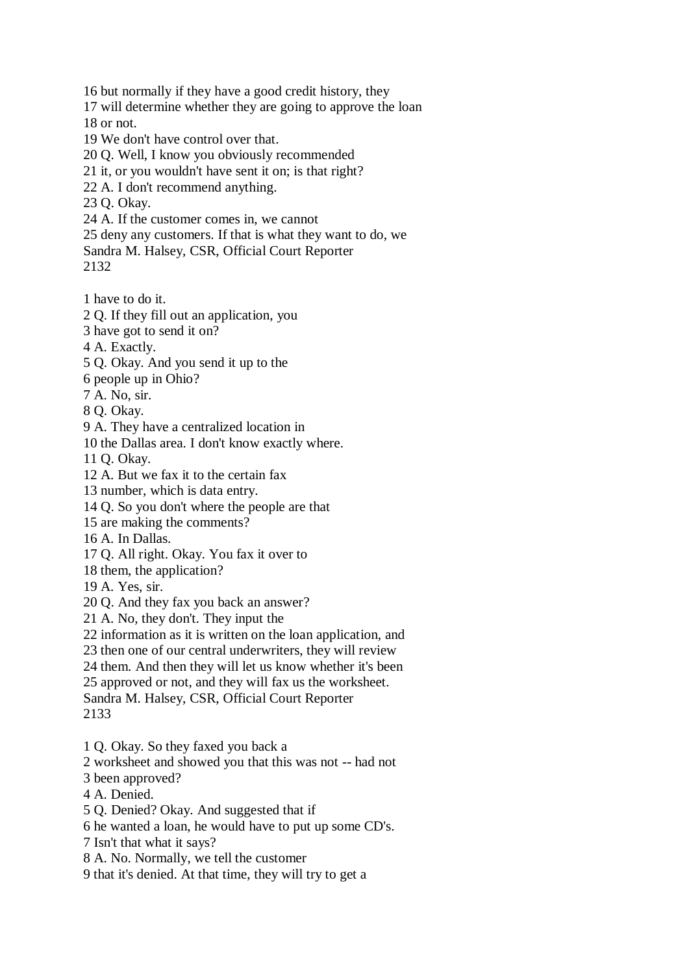16 but normally if they have a good credit history, they

- 17 will determine whether they are going to approve the loan 18 or not.
- 19 We don't have control over that.
- 20 Q. Well, I know you obviously recommended
- 21 it, or you wouldn't have sent it on; is that right?
- 22 A. I don't recommend anything.
- 23 Q. Okay.
- 24 A. If the customer comes in, we cannot
- 25 deny any customers. If that is what they want to do, we

Sandra M. Halsey, CSR, Official Court Reporter

2132

1 have to do it.

- 2 Q. If they fill out an application, you
- 3 have got to send it on?
- 4 A. Exactly.
- 5 Q. Okay. And you send it up to the
- 6 people up in Ohio?
- 7 A. No, sir.
- 8 Q. Okay.
- 9 A. They have a centralized location in
- 10 the Dallas area. I don't know exactly where.
- 11 Q. Okay.
- 12 A. But we fax it to the certain fax
- 13 number, which is data entry.
- 14 Q. So you don't where the people are that
- 15 are making the comments?
- 16 A. In Dallas.
- 17 Q. All right. Okay. You fax it over to
- 18 them, the application?
- 19 A. Yes, sir.
- 20 Q. And they fax you back an answer?
- 21 A. No, they don't. They input the
- 22 information as it is written on the loan application, and
- 23 then one of our central underwriters, they will review
- 24 them. And then they will let us know whether it's been
- 25 approved or not, and they will fax us the worksheet.
- Sandra M. Halsey, CSR, Official Court Reporter 2133
- 1 Q. Okay. So they faxed you back a
- 2 worksheet and showed you that this was not -- had not
- 3 been approved?
- 4 A. Denied.
- 5 Q. Denied? Okay. And suggested that if
- 6 he wanted a loan, he would have to put up some CD's.
- 7 Isn't that what it says?
- 8 A. No. Normally, we tell the customer
- 9 that it's denied. At that time, they will try to get a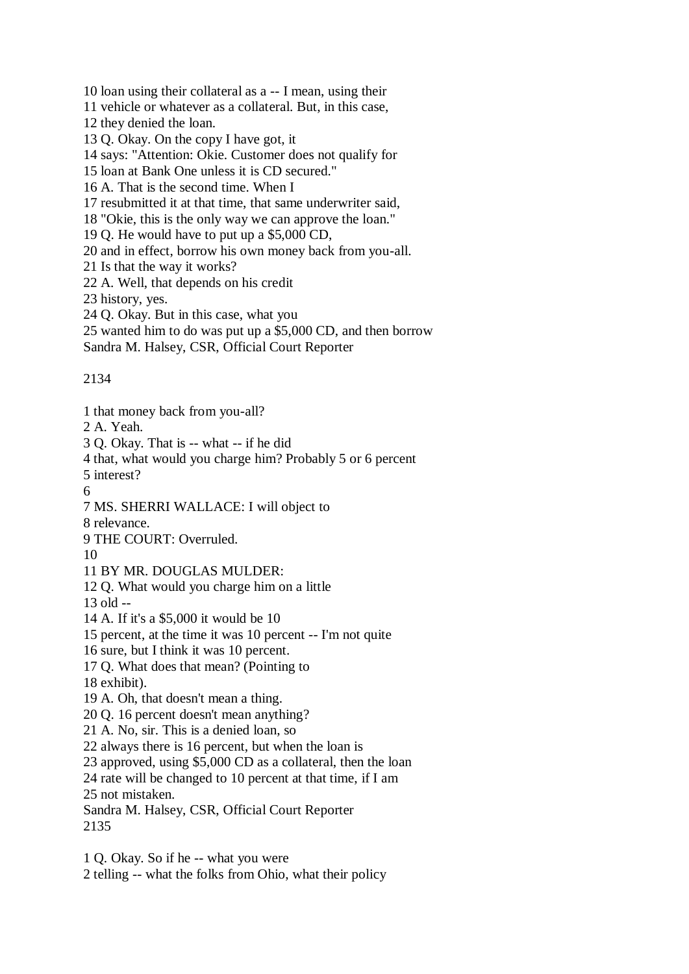10 loan using their collateral as a -- I mean, using their

11 vehicle or whatever as a collateral. But, in this case,

12 they denied the loan.

13 Q. Okay. On the copy I have got, it

14 says: "Attention: Okie. Customer does not qualify for

15 loan at Bank One unless it is CD secured."

16 A. That is the second time. When I

17 resubmitted it at that time, that same underwriter said,

18 "Okie, this is the only way we can approve the loan."

19 Q. He would have to put up a \$5,000 CD,

20 and in effect, borrow his own money back from you-all.

21 Is that the way it works?

22 A. Well, that depends on his credit

23 history, yes.

24 Q. Okay. But in this case, what you

25 wanted him to do was put up a \$5,000 CD, and then borrow

Sandra M. Halsey, CSR, Official Court Reporter

2134

1 that money back from you-all?

2 A. Yeah.

3 Q. Okay. That is -- what -- if he did

4 that, what would you charge him? Probably 5 or 6 percent

5 interest?

6

7 MS. SHERRI WALLACE: I will object to

8 relevance.

9 THE COURT: Overruled.

10

11 BY MR. DOUGLAS MULDER:

12 Q. What would you charge him on a little

13 old --

14 A. If it's a \$5,000 it would be 10

15 percent, at the time it was 10 percent -- I'm not quite

16 sure, but I think it was 10 percent.

17 Q. What does that mean? (Pointing to

18 exhibit).

19 A. Oh, that doesn't mean a thing.

20 Q. 16 percent doesn't mean anything?

21 A. No, sir. This is a denied loan, so

22 always there is 16 percent, but when the loan is

23 approved, using \$5,000 CD as a collateral, then the loan

24 rate will be changed to 10 percent at that time, if I am 25 not mistaken.

Sandra M. Halsey, CSR, Official Court Reporter 2135

1 Q. Okay. So if he -- what you were 2 telling -- what the folks from Ohio, what their policy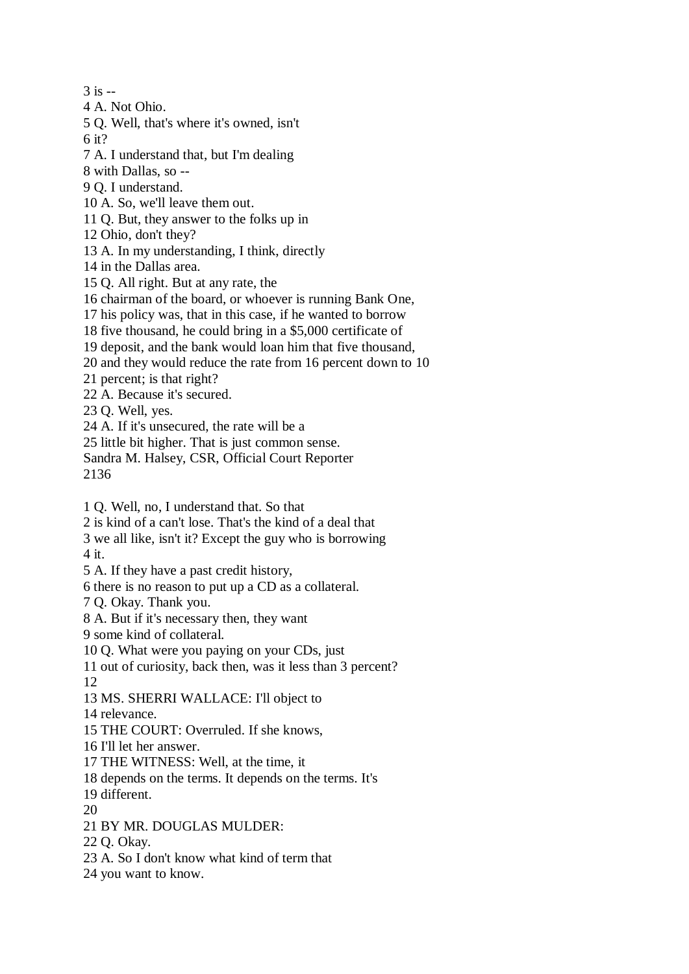$3$  is  $-$ 

- 4 A. Not Ohio.
- 5 Q. Well, that's where it's owned, isn't 6 it?
- 7 A. I understand that, but I'm dealing
- 8 with Dallas, so --
- 9 Q. I understand.
- 10 A. So, we'll leave them out.
- 11 Q. But, they answer to the folks up in
- 12 Ohio, don't they?
- 13 A. In my understanding, I think, directly
- 14 in the Dallas area.
- 15 Q. All right. But at any rate, the
- 16 chairman of the board, or whoever is running Bank One,
- 17 his policy was, that in this case, if he wanted to borrow
- 18 five thousand, he could bring in a \$5,000 certificate of
- 19 deposit, and the bank would loan him that five thousand,
- 20 and they would reduce the rate from 16 percent down to 10
- 21 percent; is that right?
- 22 A. Because it's secured.
- 23 Q. Well, yes.
- 24 A. If it's unsecured, the rate will be a
- 25 little bit higher. That is just common sense.
- Sandra M. Halsey, CSR, Official Court Reporter 2136
- 1 Q. Well, no, I understand that. So that
- 2 is kind of a can't lose. That's the kind of a deal that
- 3 we all like, isn't it? Except the guy who is borrowing
- 4 it.
- 5 A. If they have a past credit history,
- 6 there is no reason to put up a CD as a collateral.
- 7 Q. Okay. Thank you.
- 8 A. But if it's necessary then, they want
- 9 some kind of collateral.
- 10 Q. What were you paying on your CDs, just
- 11 out of curiosity, back then, was it less than 3 percent? 12
- 13 MS. SHERRI WALLACE: I'll object to
- 14 relevance.
- 15 THE COURT: Overruled. If she knows,
- 16 I'll let her answer.
- 17 THE WITNESS: Well, at the time, it
- 18 depends on the terms. It depends on the terms. It's
- 19 different.
- 20
- 21 BY MR. DOUGLAS MULDER:
- 22 Q. Okay.
- 23 A. So I don't know what kind of term that
- 24 you want to know.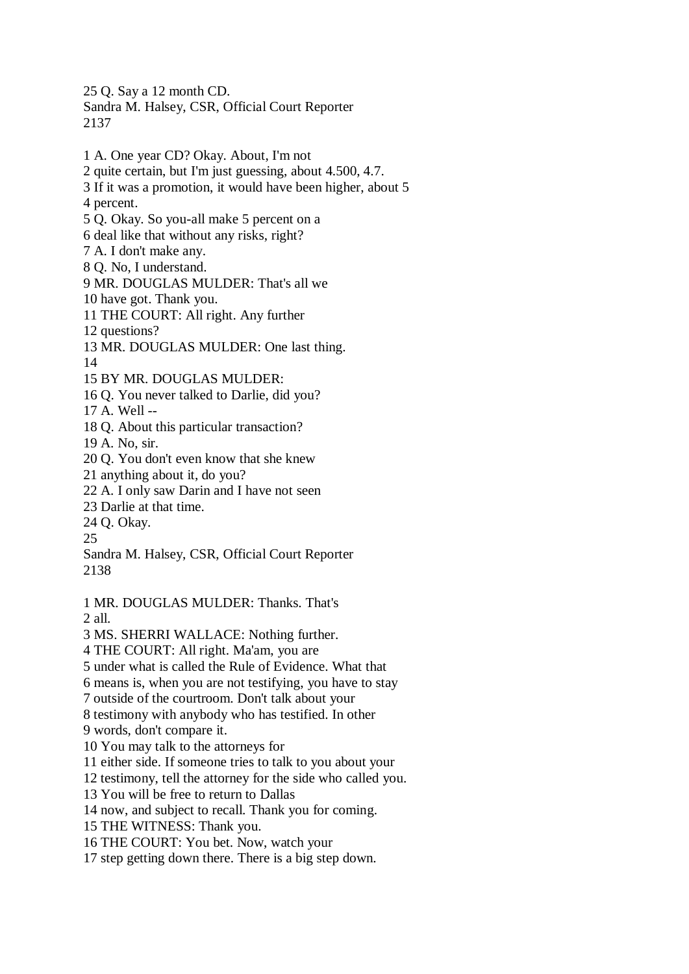25 Q. Say a 12 month CD. Sandra M. Halsey, CSR, Official Court Reporter 2137

- 1 A. One year CD? Okay. About, I'm not 2 quite certain, but I'm just guessing, about 4.500, 4.7. 3 If it was a promotion, it would have been higher, about 5 4 percent. 5 Q. Okay. So you-all make 5 percent on a 6 deal like that without any risks, right? 7 A. I don't make any. 8 Q. No, I understand. 9 MR. DOUGLAS MULDER: That's all we 10 have got. Thank you. 11 THE COURT: All right. Any further 12 questions? 13 MR. DOUGLAS MULDER: One last thing. 14 15 BY MR. DOUGLAS MULDER: 16 Q. You never talked to Darlie, did you? 17 A. Well -- 18 Q. About this particular transaction? 19 A. No, sir. 20 Q. You don't even know that she knew 21 anything about it, do you? 22 A. I only saw Darin and I have not seen 23 Darlie at that time. 24 Q. Okay. 25 Sandra M. Halsey, CSR, Official Court Reporter 2138 1 MR. DOUGLAS MULDER: Thanks. That's 2 all. 3 MS. SHERRI WALLACE: Nothing further. 4 THE COURT: All right. Ma'am, you are 5 under what is called the Rule of Evidence. What that 6 means is, when you are not testifying, you have to stay 7 outside of the courtroom. Don't talk about your 8 testimony with anybody who has testified. In other 9 words, don't compare it. 10 You may talk to the attorneys for 11 either side. If someone tries to talk to you about your 12 testimony, tell the attorney for the side who called you. 13 You will be free to return to Dallas 14 now, and subject to recall. Thank you for coming.
- 15 THE WITNESS: Thank you.

16 THE COURT: You bet. Now, watch your

17 step getting down there. There is a big step down.